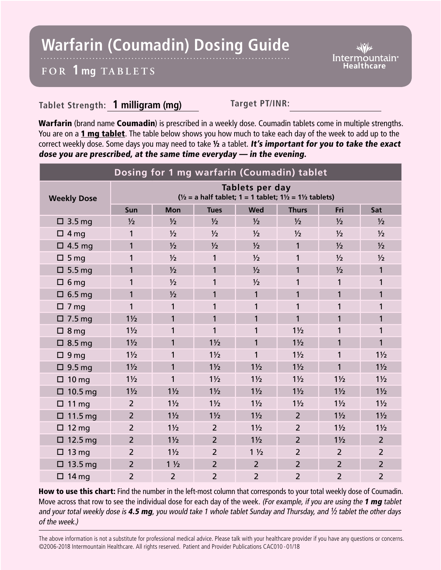## **Warfarin (Coumadin) Dosing Guide**

Intermountain<sup>®</sup> **Healthcare** 

## **FOR 1 mg TABL ETS**

## **Tablet Strength: 1 milligram (mg) Target PT/INR:**

Warfarin (brand name Coumadin) is prescribed in a weekly dose. Coumadin tablets come in multiple strengths. You are on a 1 mg tablet. The table below shows you how much to take each day of the week to add up to the correct weekly dose. Some days you may need to take 1/2 a tablet. It's important for you to take the exact dose you are prescribed, at the same time everyday — in the evening.

| Dosing for 1 mg warfarin (Coumadin) tablet |                                                                                                            |                |                |                |                |                |                |
|--------------------------------------------|------------------------------------------------------------------------------------------------------------|----------------|----------------|----------------|----------------|----------------|----------------|
| <b>Weekly Dose</b>                         | Tablets per day<br>$\frac{1}{2}$ = a half tablet; 1 = 1 tablet; 1 $\frac{1}{2}$ = 1 $\frac{1}{2}$ tablets) |                |                |                |                |                |                |
|                                            | Sun                                                                                                        | <b>Mon</b>     | <b>Tues</b>    | <b>Wed</b>     | <b>Thurs</b>   | Fri            | Sat            |
| $\Box$ 3.5 mg                              | $\frac{1}{2}$                                                                                              | $\frac{1}{2}$  | $\frac{1}{2}$  | $\frac{1}{2}$  | $\frac{1}{2}$  | $\frac{1}{2}$  | $\frac{1}{2}$  |
| $\Box$ 4 mg                                | 1                                                                                                          | $\frac{1}{2}$  | $\frac{1}{2}$  | $\frac{1}{2}$  | $\frac{1}{2}$  | $\frac{1}{2}$  | $\frac{1}{2}$  |
| $\Box$ 4.5 mg                              | 1                                                                                                          | $\frac{1}{2}$  | $\frac{1}{2}$  | $\frac{1}{2}$  | 1              | $\frac{1}{2}$  | $\frac{1}{2}$  |
| $\square$ 5 mg                             | 1                                                                                                          | $\frac{1}{2}$  | 1              | $\frac{1}{2}$  | 1              | $\frac{1}{2}$  | $\frac{1}{2}$  |
| $\Box$ 5.5 mg                              | 1                                                                                                          | $\frac{1}{2}$  | 1              | $\frac{1}{2}$  | 1              | $\frac{1}{2}$  | 1              |
| $\Box$ 6 mg                                | 1                                                                                                          | 1/2            | 1              | 1/2            | 1              | 1              | 1              |
| $\Box$ 6.5 mg                              | 1                                                                                                          | $\frac{1}{2}$  | 1              | $\mathbf{1}$   | 1              | 1              | 1              |
| $\Box$ 7 mg                                | 1                                                                                                          | 1              | 1              | 1              | 1              | 1              | 1              |
| $\Box$ 7.5 mg                              | $1\frac{1}{2}$                                                                                             | 1              | 1              | $\mathbf{1}$   | 1              | 1              | 1              |
| $\Box$ 8 mg                                | $1\frac{1}{2}$                                                                                             | 1              | 1              | 1              | $1\frac{1}{2}$ | 1              | 1              |
| $\Box$ 8.5 mg                              | $1\frac{1}{2}$                                                                                             | 1              | $1\frac{1}{2}$ | 1              | $1\frac{1}{2}$ | 1              | 1              |
| $\Box$ 9 mg                                | $1\frac{1}{2}$                                                                                             | 1              | $1\frac{1}{2}$ | 1              | $1\frac{1}{2}$ | 1              | $1\frac{1}{2}$ |
| $\Box$ 9.5 mg                              | $1\frac{1}{2}$                                                                                             | 1              | $1\frac{1}{2}$ | $1\frac{1}{2}$ | $1\frac{1}{2}$ | 1              | $1\frac{1}{2}$ |
| $\Box$ 10 mg                               | $1\frac{1}{2}$                                                                                             | 1              | $1\frac{1}{2}$ | $1\frac{1}{2}$ | $1\frac{1}{2}$ | $1\frac{1}{2}$ | $1\frac{1}{2}$ |
| $\Box$ 10.5 mg                             | $1\frac{1}{2}$                                                                                             | $1\frac{1}{2}$ | $1\frac{1}{2}$ | $1\frac{1}{2}$ | $1\frac{1}{2}$ | $1\frac{1}{2}$ | $1\frac{1}{2}$ |
| $\Box$ 11 mg                               | $\overline{2}$                                                                                             | $1\frac{1}{2}$ | $1\frac{1}{2}$ | $1\frac{1}{2}$ | $1\frac{1}{2}$ | $1\frac{1}{2}$ | $1\frac{1}{2}$ |
| $\Box$ 11.5 mg                             | $\overline{2}$                                                                                             | $1\frac{1}{2}$ | $1\frac{1}{2}$ | $1\frac{1}{2}$ | $\overline{2}$ | $1\frac{1}{2}$ | $1\frac{1}{2}$ |
| $\Box$ 12 mg                               | $\overline{2}$                                                                                             | $1\frac{1}{2}$ | $\overline{2}$ | $1\frac{1}{2}$ | $\overline{2}$ | $1\frac{1}{2}$ | $1\frac{1}{2}$ |
| $\Box$ 12.5 mg                             | $\overline{2}$                                                                                             | $1\frac{1}{2}$ | $\overline{2}$ | $1\frac{1}{2}$ | $\overline{2}$ | $1\frac{1}{2}$ | $\overline{2}$ |
| $\Box$ 13 mg                               | $\overline{2}$                                                                                             | $1\frac{1}{2}$ | $\overline{2}$ | $1\frac{1}{2}$ | $\overline{2}$ | $\overline{2}$ | $\overline{2}$ |
| $\Box$ 13.5 mg                             | $\overline{2}$                                                                                             | $1\frac{1}{2}$ | $\overline{2}$ | $\overline{2}$ | $\overline{2}$ | $\overline{2}$ | $\overline{2}$ |
| $\Box$ 14 mg                               | $\overline{2}$                                                                                             | $\overline{2}$ | $\overline{2}$ | $\overline{2}$ | $\overline{2}$ | $\overline{2}$ | $\overline{2}$ |

How to use this chart: Find the number in the left-most column that corresponds to your total weekly dose of Coumadin. Move across that row to see the individual dose for each day of the week. (For example, if you are using the 1 mg tablet and your total weekly dose is 4.5 mg, you would take 1 whole tablet Sunday and Thursday, and  $\frac{1}{2}$  tablet the other days of the week.)

The above information is not a substitute for professional medical advice. Please talk with your healthcare provider if you have any questions or concerns. ©2006-2018 Intermountain Healthcare. All rights reserved. Patient and Provider Publications CAC010 - 01/18